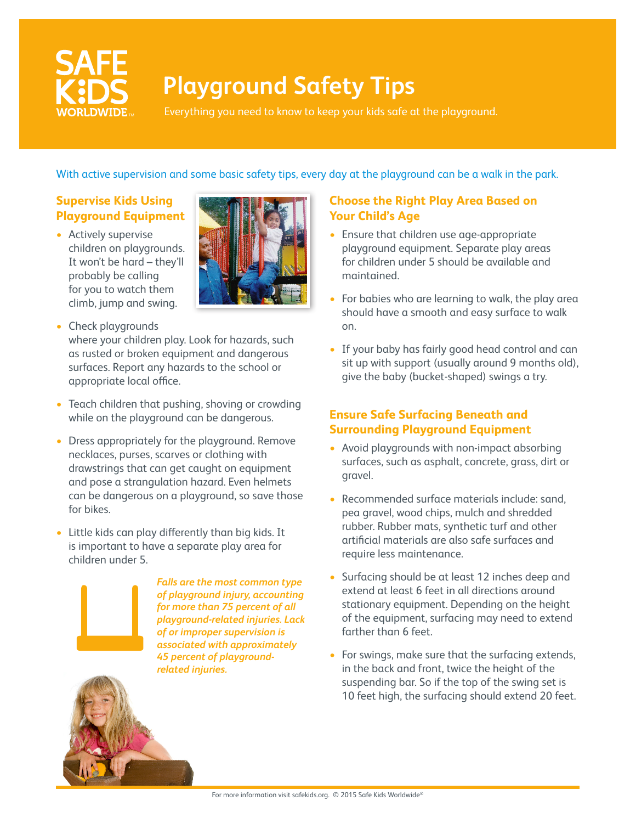

# **Playground Safety Tips**

Everything you need to know to keep your kids safe at the playground.

With active supervision and some basic safety tips, every day at the playground can be a walk in the park.

# **Supervise Kids Using Playground Equipment**

• Actively supervise children on playgrounds. It won't be hard – they'll probably be calling for you to watch them climb, jump and swing.



- Check playgrounds where your children play. Look for hazards, such as rusted or broken equipment and dangerous surfaces. Report any hazards to the school or appropriate local office.
- Teach children that pushing, shoving or crowding while on the playground can be dangerous.
- Dress appropriately for the playground. Remove necklaces, purses, scarves or clothing with drawstrings that can get caught on equipment and pose a strangulation hazard. Even helmets can be dangerous on a playground, so save those for bikes.
- Little kids can play differently than big kids. It is important to have a separate play area for children under 5.



*Falls are the most common type of playground injury, accounting for more than 75 percent of all playground-related injuries. Lack of or improper supervision is associated with approximately 45 percent of playgroundrelated injuries.*

#### **Choose the Right Play Area Based on Your Child's Age**

- Ensure that children use age-appropriate playground equipment. Separate play areas for children under 5 should be available and maintained.
- For babies who are learning to walk, the play area should have a smooth and easy surface to walk on.
- If your baby has fairly good head control and can sit up with support (usually around 9 months old), give the baby (bucket-shaped) swings a try.

## **Ensure Safe Surfacing Beneath and Surrounding Playground Equipment**

- Avoid playgrounds with non-impact absorbing surfaces, such as asphalt, concrete, grass, dirt or gravel.
- Recommended surface materials include: sand, pea gravel, wood chips, mulch and shredded rubber. Rubber mats, synthetic turf and other artificial materials are also safe surfaces and require less maintenance.
- Surfacing should be at least 12 inches deep and extend at least 6 feet in all directions around stationary equipment. Depending on the height of the equipment, surfacing may need to extend farther than 6 feet.
- For swings, make sure that the surfacing extends, in the back and front, twice the height of the suspending bar. So if the top of the swing set is 10 feet high, the surfacing should extend 20 feet.